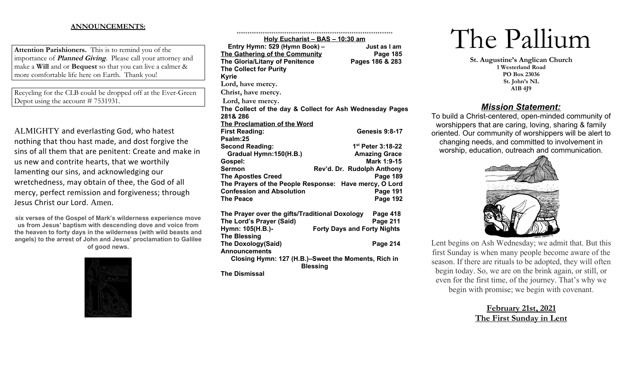## **ANNOUNCEMENTS:**

**Attention Parishioners.** This is to remind you of the importance of **Planned Giving**. Please call your attorney and make a **Will** and or **Bequest** so that you can live a calmer & more comfortable life here on Earth. Thank you!

Recycling for the CLB could be dropped off at the Ever-Green Depot using the account # 7531931.

ALMIGHTY and everlasting God, who hatest nothing that thou hast made, and dost forgive the sins of all them that are penitent: Create and make in us new and contrite hearts, that we worthily lamenting our sins, and acknowledging our wretchedness, may obtain of thee, the God of all mercy, perfect remission and forgiveness; through Jesus Christ our Lord. Amen.

**six verses of the Gospel of Mark's wilderness experience move us from Jesus' baptism with descending dove and voice from the heaven to forty days in the wilderness (with wild beasts and angels) to the arrest of John and Jesus' proclamation to Galilee of good news.**



|                                                | <u>Holy Eucharist – BAS – 10:30 am</u>                                 |
|------------------------------------------------|------------------------------------------------------------------------|
| Entry Hymn: 529 (Hymn Book) -                  | Just as I am                                                           |
| The Gathering of the Community                 | Page 185                                                               |
| <b>The Gloria/Litany of Penitence</b>          | Pages 186 & 283                                                        |
| <b>The Collect for Purity</b>                  |                                                                        |
| <b>Kyrie</b>                                   |                                                                        |
| Lord, have mercy.                              |                                                                        |
| Christ, have mercy.                            |                                                                        |
| Lord, have mercy.                              |                                                                        |
|                                                | The Collect of the day & Collect for Ash Wednesday Pages               |
| 281& 286                                       |                                                                        |
| The Proclamation of the Word                   |                                                                        |
| <b>First Reading:</b>                          | <b>Genesis 9:8-17</b>                                                  |
| Psalm:25                                       |                                                                        |
| <b>Second Reading:</b>                         | 1 <sup>st</sup> Peter 3:18-22                                          |
| Gradual Hymn:150(H.B.)                         | <b>Amazing Grace</b>                                                   |
| Gospel:                                        | Mark 1:9-15                                                            |
| <b>Sermon</b>                                  | Rev'd. Dr. Rudolph Anthony                                             |
| <b>The Apostles Creed</b>                      | <b>Page 189</b>                                                        |
|                                                | The Prayers of the People Response: Have mercy, O Lord                 |
| <b>Confession and Absolution</b>               | <b>Page 191</b>                                                        |
| <b>The Peace</b>                               | <b>Page 192</b>                                                        |
| The Prayer over the gifts/Traditional Doxology | Page 418                                                               |
| The Lord's Prayer (Said)                       | Page 211                                                               |
| Hymn: 105(H.B.)-                               | <b>Forty Days and Forty Nights</b>                                     |
| <b>The Blessing</b>                            |                                                                        |
| <b>The Doxology(Said)</b>                      | Page 214                                                               |
| <b>Announcements</b>                           |                                                                        |
|                                                | Closing Hymn: 127 (H.B.)-Sweet the Moments, Rich in<br><b>Blessing</b> |
| <b>The Dismissal</b>                           |                                                                        |
|                                                |                                                                        |

# The Pallium

**St. Augustine's Anglican Church 1 Westerland Road PO Box 23036 St. John's NL A1B 4J9**

## *Mission Statement:*

To build a Christ-centered, open-minded community of worshippers that are caring, loving, sharing & family oriented. Our community of worshippers will be alert to changing needs, and committed to involvement in worship, education, outreach and communication.



Lent begins on Ash Wednesday; we admit that. But this first Sunday is when many people become aware of the season. If there are rituals to be adopted, they will often begin today. So, we are on the brink again, or still, or even for the first time, of the journey. That's why we begin with promise; we begin with covenant.

> **February 21st, 2021 The First Sunday in Lent**